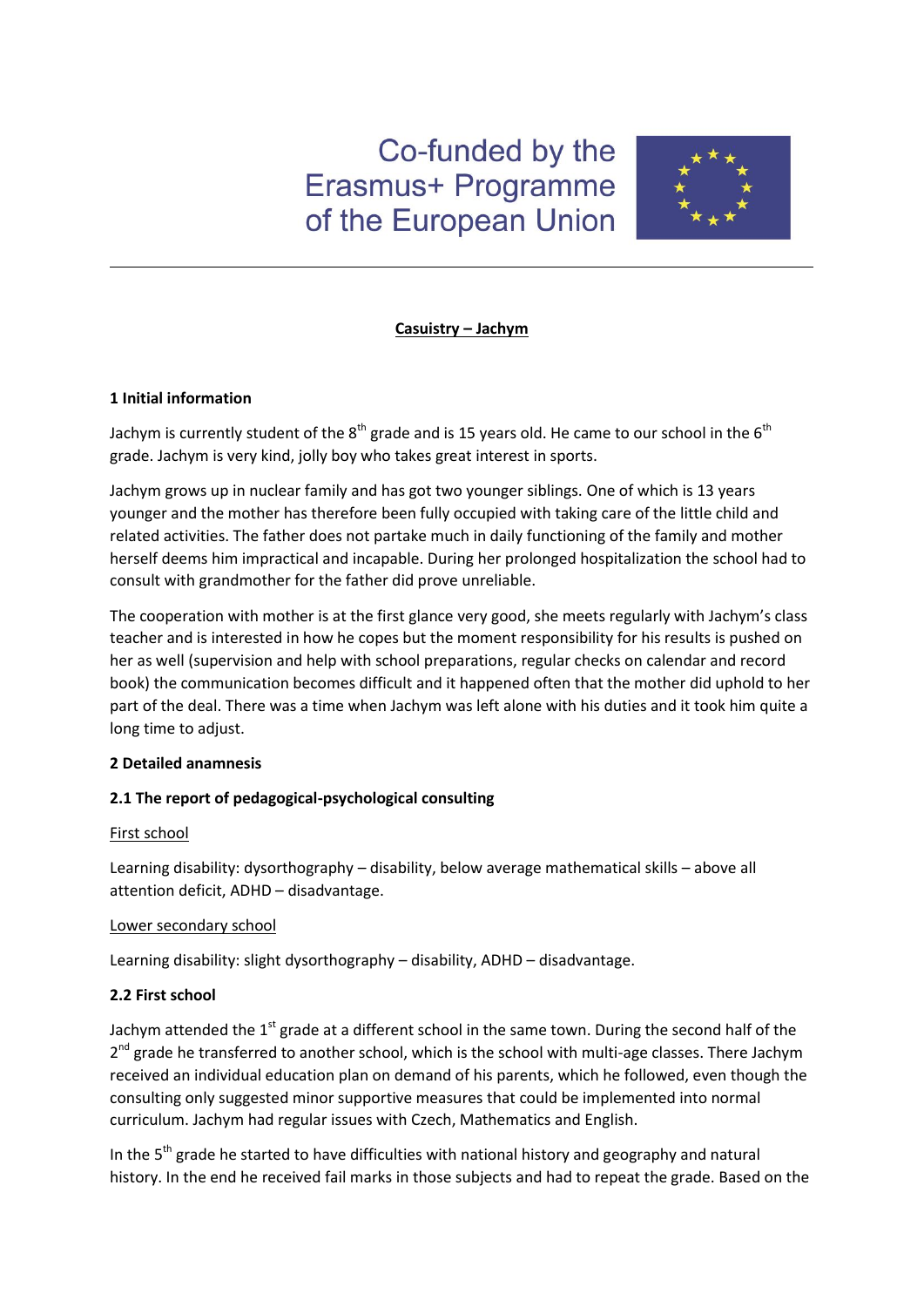# Co-funded by the Erasmus+ Programme of the European Union



## **Casuistry – Jachym**

### **1 Initial information**

Jachym is currently student of the  $8<sup>th</sup>$  grade and is 15 years old. He came to our school in the  $6<sup>th</sup>$ grade. Jachym is very kind, jolly boy who takes great interest in sports.

Jachym grows up in nuclear family and has got two younger siblings. One of which is 13 years younger and the mother has therefore been fully occupied with taking care of the little child and related activities. The father does not partake much in daily functioning of the family and mother herself deems him impractical and incapable. During her prolonged hospitalization the school had to consult with grandmother for the father did prove unreliable.

The cooperation with mother is at the first glance very good, she meets regularly with Jachym's class teacher and is interested in how he copes but the moment responsibility for his results is pushed on her as well (supervision and help with school preparations, regular checks on calendar and record book) the communication becomes difficult and it happened often that the mother did uphold to her part of the deal. There was a time when Jachym was left alone with his duties and it took him quite a long time to adjust.

# **2 Detailed anamnesis**

# **2.1 The report of pedagogical-psychological consulting**

#### First school

Learning disability: dysorthography – disability, below average mathematical skills – above all attention deficit, ADHD – disadvantage.

#### Lower secondary school

Learning disability: slight dysorthography – disability, ADHD – disadvantage.

# **2.2 First school**

Jachym attended the 1<sup>st</sup> grade at a different school in the same town. During the second half of the 2<sup>nd</sup> grade he transferred to another school, which is the school with multi-age classes. There Jachym received an individual education plan on demand of his parents, which he followed, even though the consulting only suggested minor supportive measures that could be implemented into normal curriculum. Jachym had regular issues with Czech, Mathematics and English.

In the 5<sup>th</sup> grade he started to have difficulties with national history and geography and natural history. In the end he received fail marks in those subjects and had to repeat the grade. Based on the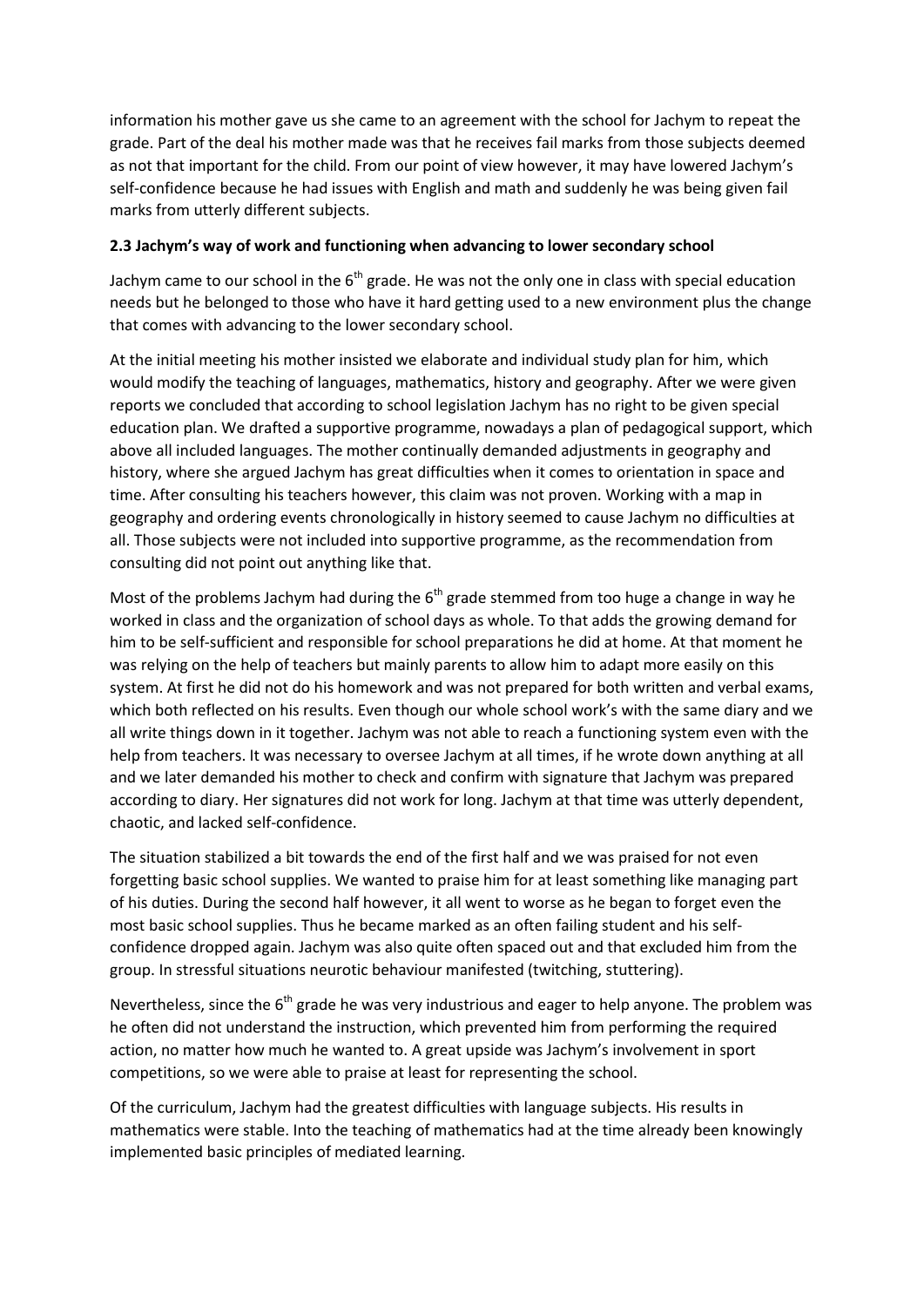information his mother gave us she came to an agreement with the school for Jachym to repeat the grade. Part of the deal his mother made was that he receives fail marks from those subjects deemed as not that important for the child. From our point of view however, it may have lowered Jachym's self-confidence because he had issues with English and math and suddenly he was being given fail marks from utterly different subjects.

## **2.3 Jachym's way of work and functioning when advancing to lower secondary school**

Jachym came to our school in the  $6<sup>th</sup>$  grade. He was not the only one in class with special education needs but he belonged to those who have it hard getting used to a new environment plus the change that comes with advancing to the lower secondary school.

At the initial meeting his mother insisted we elaborate and individual study plan for him, which would modify the teaching of languages, mathematics, history and geography. After we were given reports we concluded that according to school legislation Jachym has no right to be given special education plan. We drafted a supportive programme, nowadays a plan of pedagogical support, which above all included languages. The mother continually demanded adjustments in geography and history, where she argued Jachym has great difficulties when it comes to orientation in space and time. After consulting his teachers however, this claim was not proven. Working with a map in geography and ordering events chronologically in history seemed to cause Jachym no difficulties at all. Those subjects were not included into supportive programme, as the recommendation from consulting did not point out anything like that.

Most of the problems Jachym had during the  $6<sup>th</sup>$  grade stemmed from too huge a change in way he worked in class and the organization of school days as whole. To that adds the growing demand for him to be self-sufficient and responsible for school preparations he did at home. At that moment he was relying on the help of teachers but mainly parents to allow him to adapt more easily on this system. At first he did not do his homework and was not prepared for both written and verbal exams, which both reflected on his results. Even though our whole school work's with the same diary and we all write things down in it together. Jachym was not able to reach a functioning system even with the help from teachers. It was necessary to oversee Jachym at all times, if he wrote down anything at all and we later demanded his mother to check and confirm with signature that Jachym was prepared according to diary. Her signatures did not work for long. Jachym at that time was utterly dependent, chaotic, and lacked self-confidence.

The situation stabilized a bit towards the end of the first half and we was praised for not even forgetting basic school supplies. We wanted to praise him for at least something like managing part of his duties. During the second half however, it all went to worse as he began to forget even the most basic school supplies. Thus he became marked as an often failing student and his selfconfidence dropped again. Jachym was also quite often spaced out and that excluded him from the group. In stressful situations neurotic behaviour manifested (twitching, stuttering).

Nevertheless, since the  $6<sup>th</sup>$  grade he was very industrious and eager to help anyone. The problem was he often did not understand the instruction, which prevented him from performing the required action, no matter how much he wanted to. A great upside was Jachym's involvement in sport competitions, so we were able to praise at least for representing the school.

Of the curriculum, Jachym had the greatest difficulties with language subjects. His results in mathematics were stable. Into the teaching of mathematics had at the time already been knowingly implemented basic principles of mediated learning.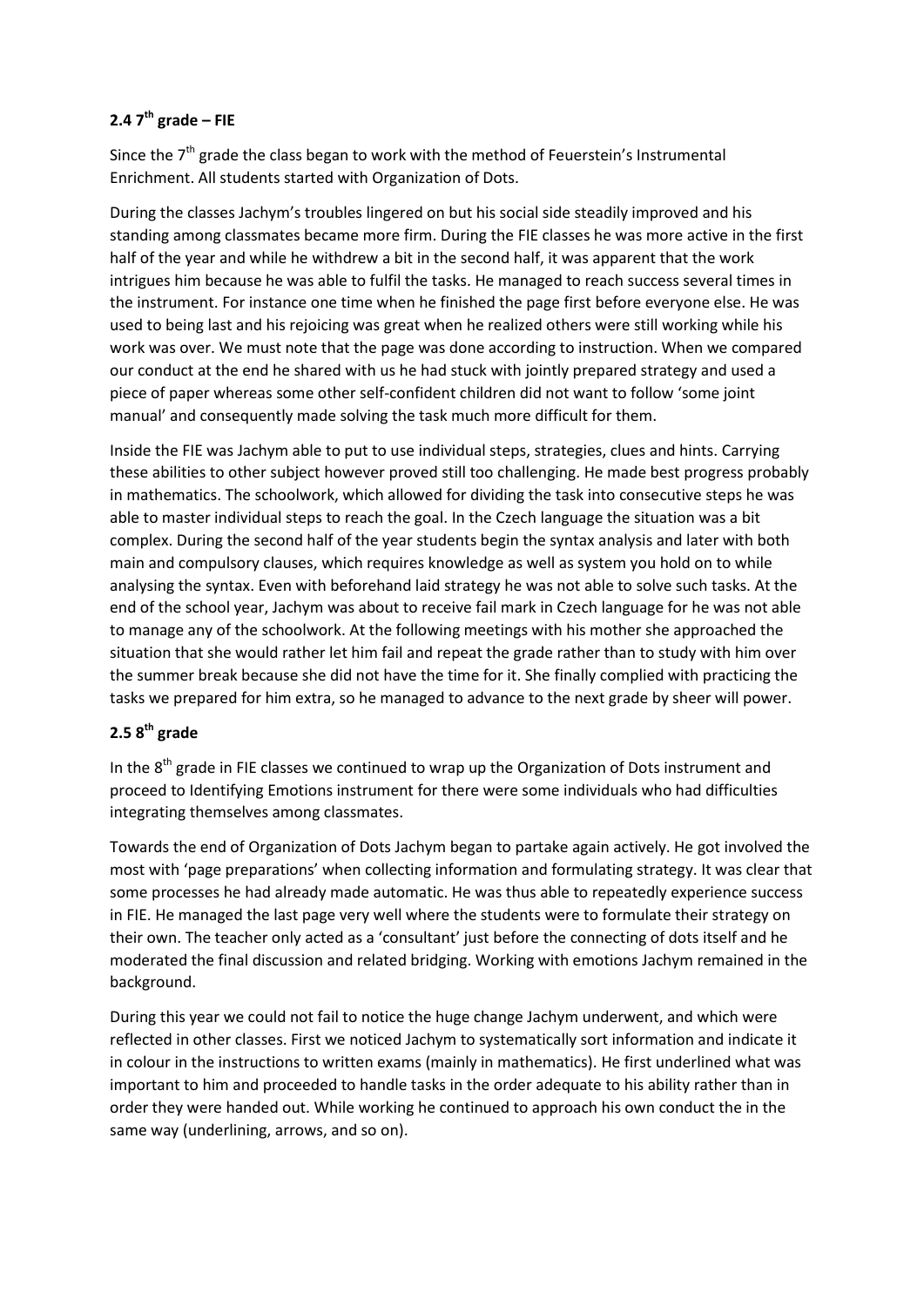# **2.4 7th grade – FIE**

Since the  $7<sup>th</sup>$  grade the class began to work with the method of Feuerstein's Instrumental Enrichment. All students started with Organization of Dots.

During the classes Jachym's troubles lingered on but his social side steadily improved and his standing among classmates became more firm. During the FIE classes he was more active in the first half of the year and while he withdrew a bit in the second half, it was apparent that the work intrigues him because he was able to fulfil the tasks. He managed to reach success several times in the instrument. For instance one time when he finished the page first before everyone else. He was used to being last and his rejoicing was great when he realized others were still working while his work was over. We must note that the page was done according to instruction. When we compared our conduct at the end he shared with us he had stuck with jointly prepared strategy and used a piece of paper whereas some other self-confident children did not want to follow 'some joint manual' and consequently made solving the task much more difficult for them.

Inside the FIE was Jachym able to put to use individual steps, strategies, clues and hints. Carrying these abilities to other subject however proved still too challenging. He made best progress probably in mathematics. The schoolwork, which allowed for dividing the task into consecutive steps he was able to master individual steps to reach the goal. In the Czech language the situation was a bit complex. During the second half of the year students begin the syntax analysis and later with both main and compulsory clauses, which requires knowledge as well as system you hold on to while analysing the syntax. Even with beforehand laid strategy he was not able to solve such tasks. At the end of the school year, Jachym was about to receive fail mark in Czech language for he was not able to manage any of the schoolwork. At the following meetings with his mother she approached the situation that she would rather let him fail and repeat the grade rather than to study with him over the summer break because she did not have the time for it. She finally complied with practicing the tasks we prepared for him extra, so he managed to advance to the next grade by sheer will power.

# **2.5 8th grade**

In the  $8<sup>th</sup>$  grade in FIE classes we continued to wrap up the Organization of Dots instrument and proceed to Identifying Emotions instrument for there were some individuals who had difficulties integrating themselves among classmates.

Towards the end of Organization of Dots Jachym began to partake again actively. He got involved the most with 'page preparations' when collecting information and formulating strategy. It was clear that some processes he had already made automatic. He was thus able to repeatedly experience success in FIE. He managed the last page very well where the students were to formulate their strategy on their own. The teacher only acted as a 'consultant' just before the connecting of dots itself and he moderated the final discussion and related bridging. Working with emotions Jachym remained in the background.

During this year we could not fail to notice the huge change Jachym underwent, and which were reflected in other classes. First we noticed Jachym to systematically sort information and indicate it in colour in the instructions to written exams (mainly in mathematics). He first underlined what was important to him and proceeded to handle tasks in the order adequate to his ability rather than in order they were handed out. While working he continued to approach his own conduct the in the same way (underlining, arrows, and so on).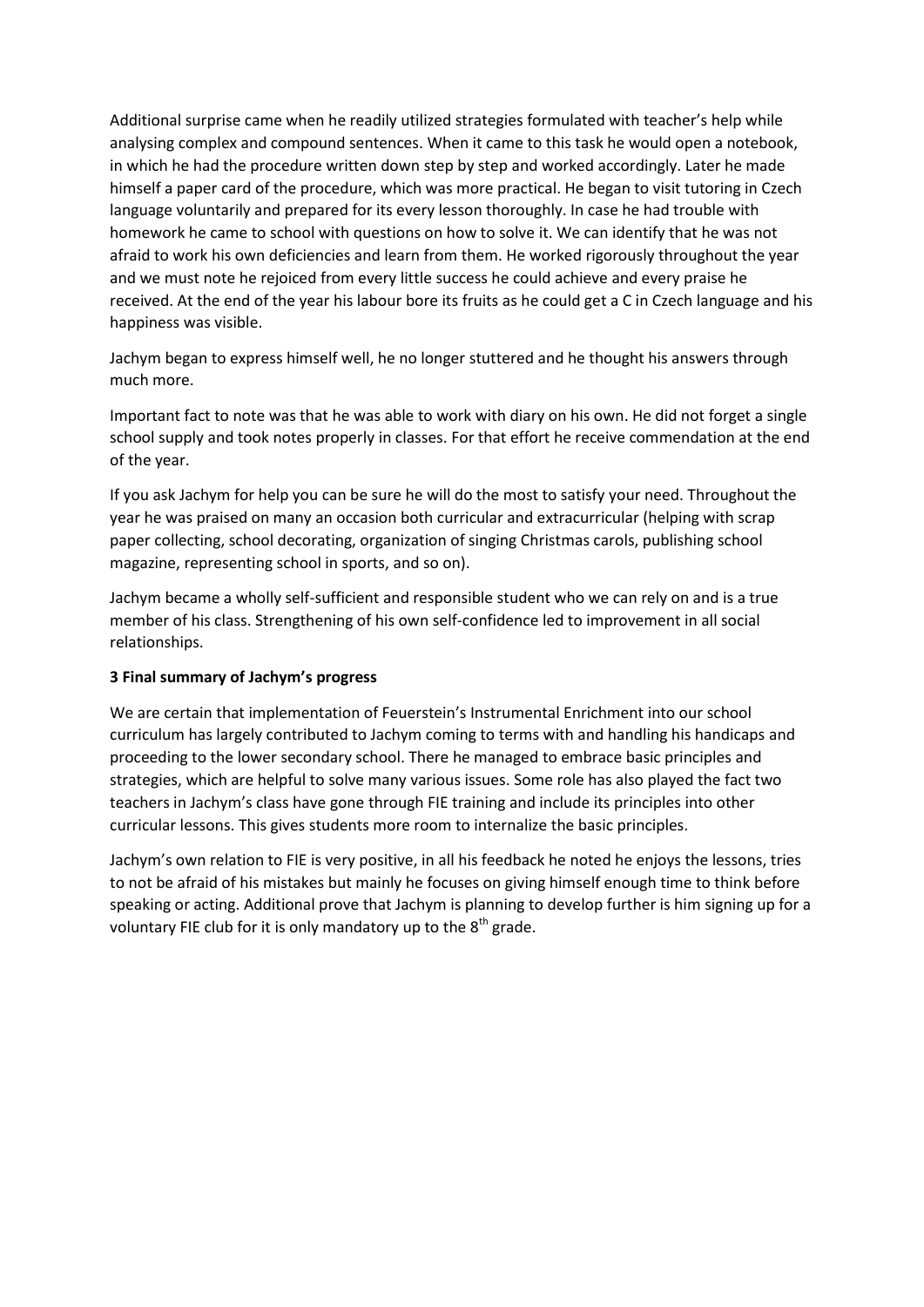Additional surprise came when he readily utilized strategies formulated with teacher's help while analysing complex and compound sentences. When it came to this task he would open a notebook, in which he had the procedure written down step by step and worked accordingly. Later he made himself a paper card of the procedure, which was more practical. He began to visit tutoring in Czech language voluntarily and prepared for its every lesson thoroughly. In case he had trouble with homework he came to school with questions on how to solve it. We can identify that he was not afraid to work his own deficiencies and learn from them. He worked rigorously throughout the year and we must note he rejoiced from every little success he could achieve and every praise he received. At the end of the year his labour bore its fruits as he could get a C in Czech language and his happiness was visible.

Jachym began to express himself well, he no longer stuttered and he thought his answers through much more.

Important fact to note was that he was able to work with diary on his own. He did not forget a single school supply and took notes properly in classes. For that effort he receive commendation at the end of the year.

If you ask Jachym for help you can be sure he will do the most to satisfy your need. Throughout the year he was praised on many an occasion both curricular and extracurricular (helping with scrap paper collecting, school decorating, organization of singing Christmas carols, publishing school magazine, representing school in sports, and so on).

Jachym became a wholly self-sufficient and responsible student who we can rely on and is a true member of his class. Strengthening of his own self-confidence led to improvement in all social relationships.

#### **3 Final summary of Jachym's progress**

We are certain that implementation of Feuerstein's Instrumental Enrichment into our school curriculum has largely contributed to Jachym coming to terms with and handling his handicaps and proceeding to the lower secondary school. There he managed to embrace basic principles and strategies, which are helpful to solve many various issues. Some role has also played the fact two teachers in Jachym's class have gone through FIE training and include its principles into other curricular lessons. This gives students more room to internalize the basic principles.

Jachym's own relation to FIE is very positive, in all his feedback he noted he enjoys the lessons, tries to not be afraid of his mistakes but mainly he focuses on giving himself enough time to think before speaking or acting. Additional prove that Jachym is planning to develop further is him signing up for a voluntary FIE club for it is only mandatory up to the 8<sup>th</sup> grade.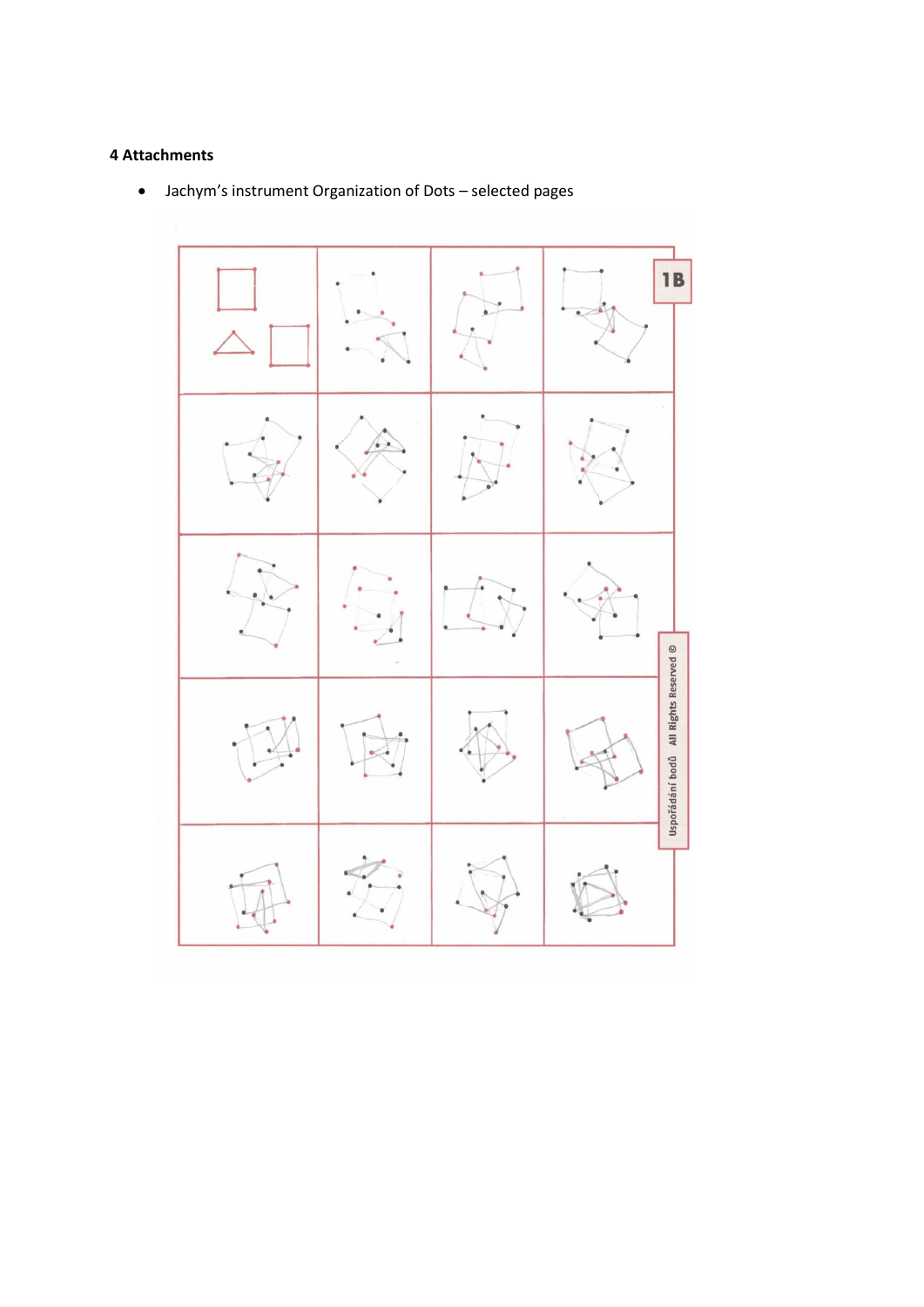### **4 Attachments**

- **1B** Uspořádání bodů All Rights Reserved ©
- Jachym's instrument Organization of Dots selected pages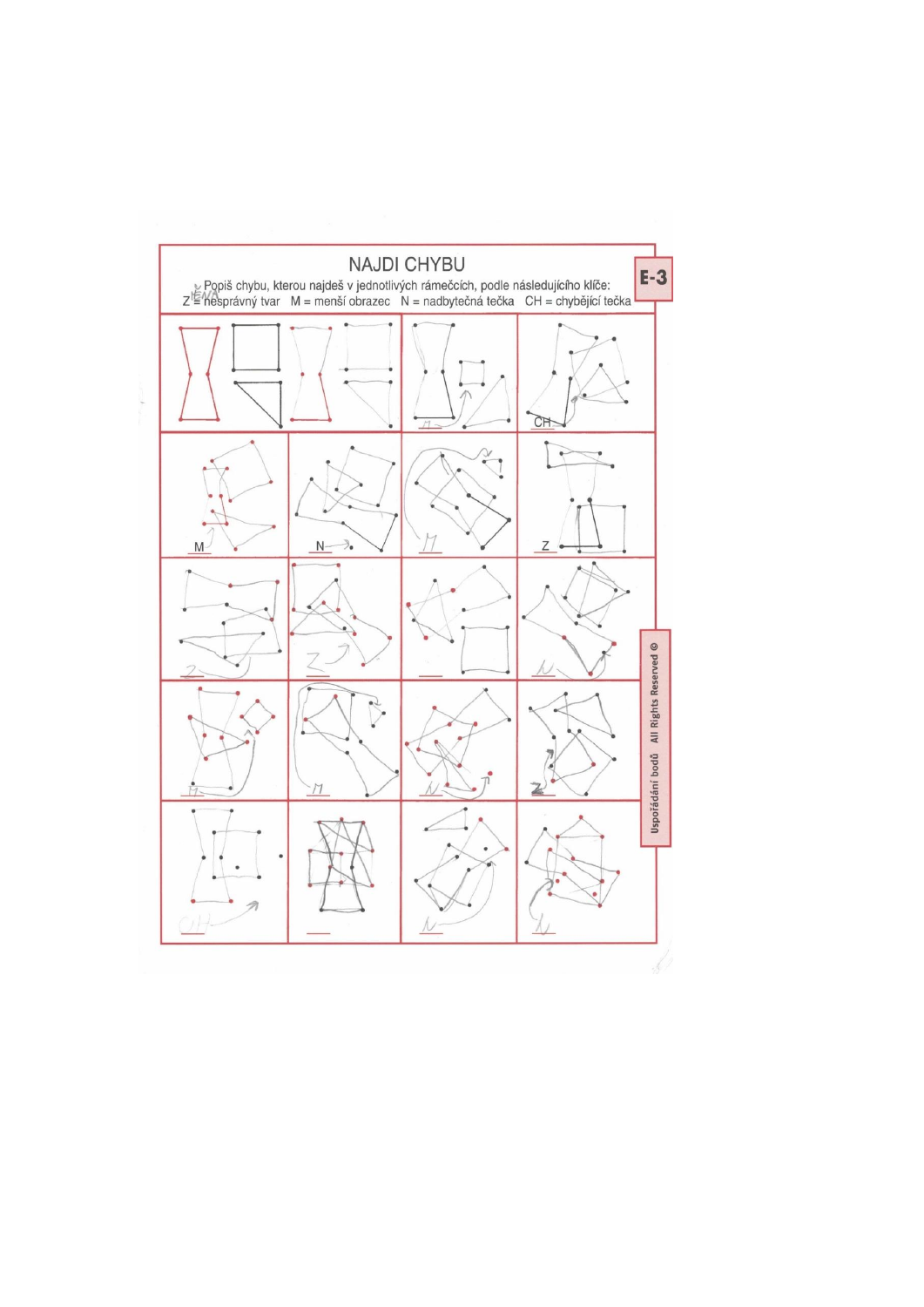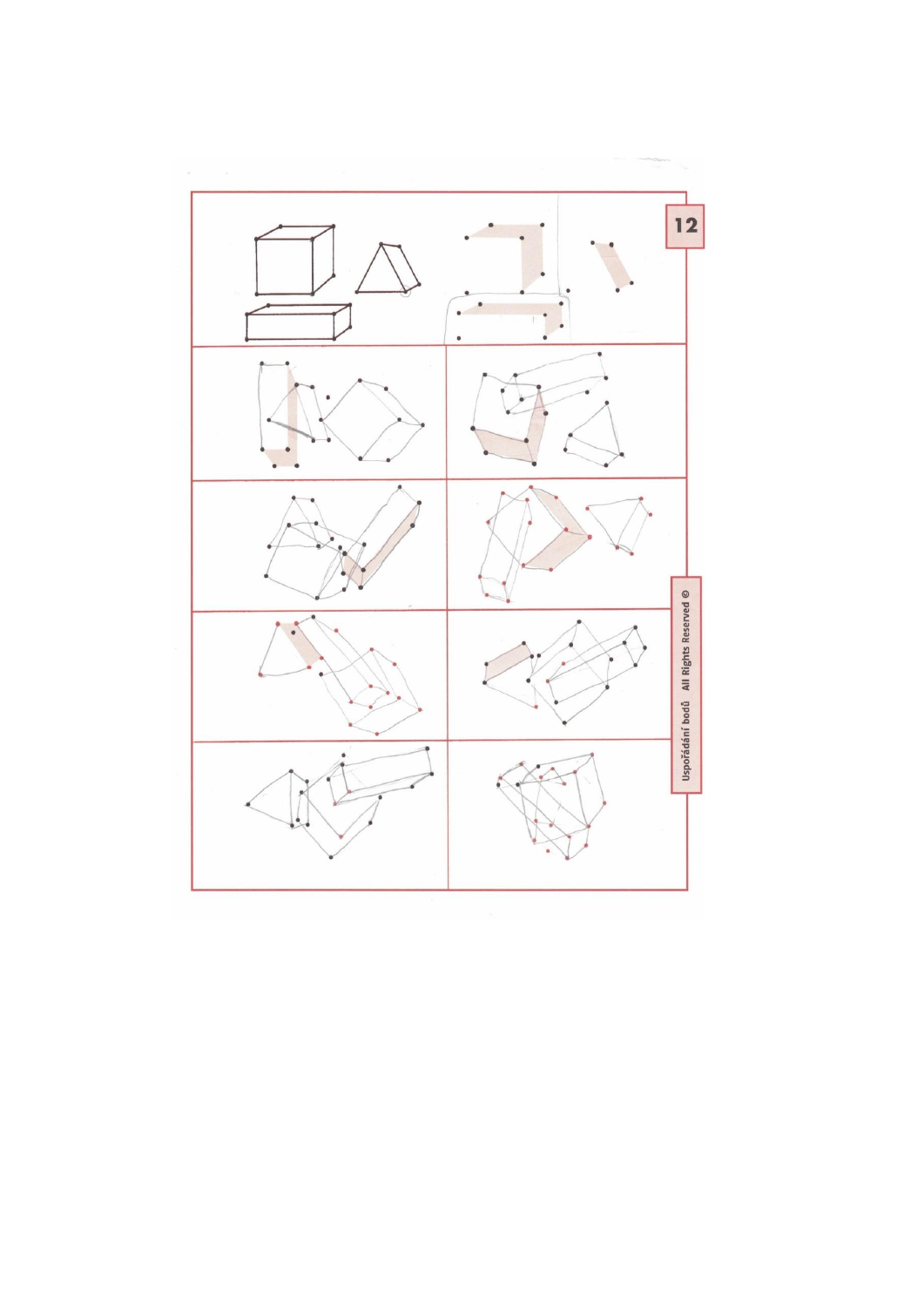